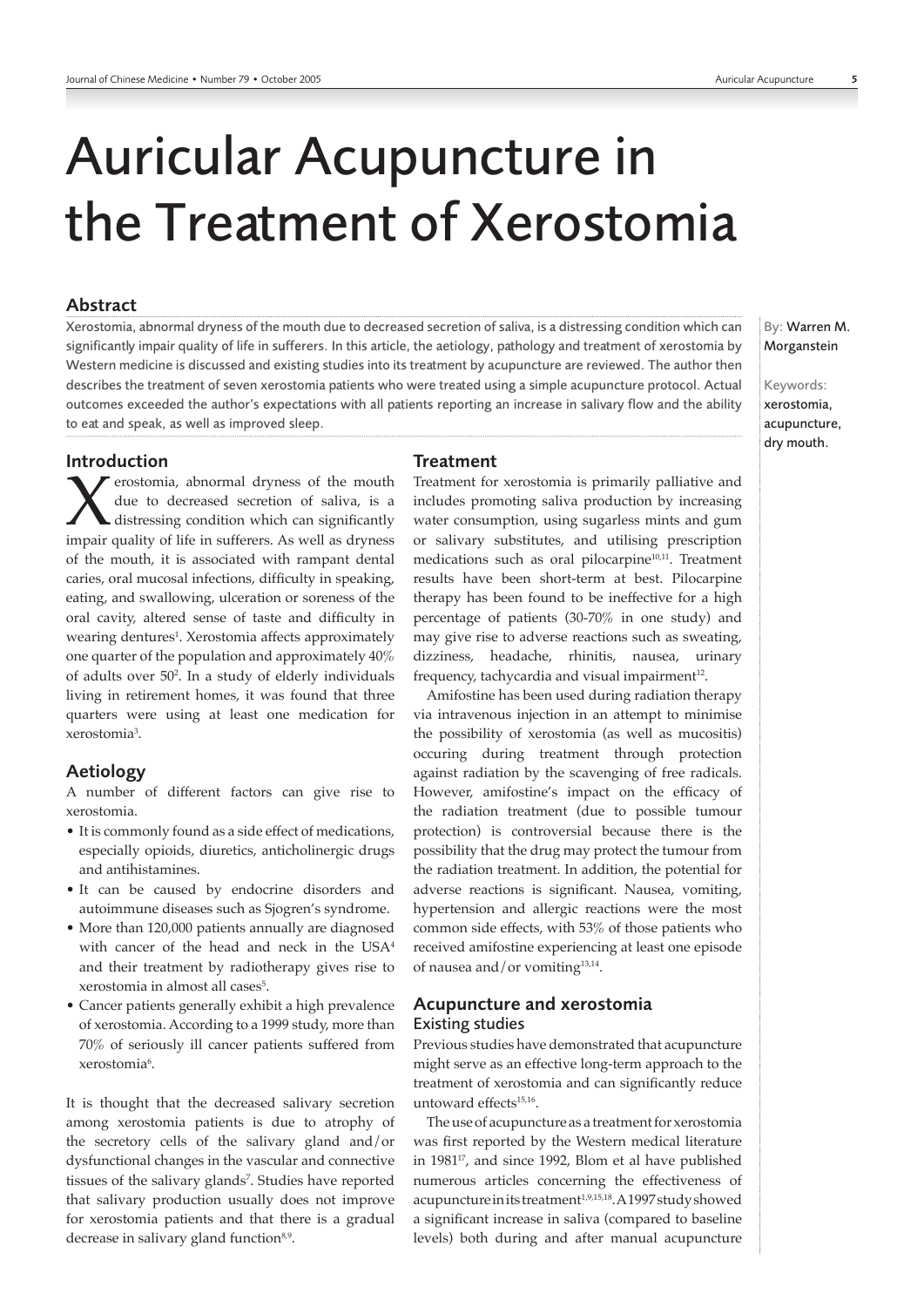# Auricular Acupuncture in the Treatment of Xerostomia

## Abstract

Xerostomia, abnormal dryness of the mouth due to decreased secretion of saliva, is a distressing condition which can significantly impair quality of life in sufferers. In this article, the aetiology, pathology and treatment of xerostomia by Western medicine is discussed and existing studies into its treatment by acupuncture are reviewed. The author then describes the treatment of seven xerostomia patients who were treated using a simple acupuncture protocol. Actual outcomes exceeded the author's expectations with all patients reporting an increase in salivary flow and the ability to eat and speak, as well as improved sleep.

Introduction

r erostomia, abnormal dryness of the mouth due to decreased secretion of saliva, is a distressing condition which can significantly impair quality of life in sufferers. As well as dryness of the mouth, it is associated with rampant dental caries, oral mucosal infections, difficulty in speaking, eating, and swallowing, ulceration or soreness of the oral cavity, altered sense of taste and difficulty in wearing dentures<sup>1</sup>. Xerostomia affects approximately one quarter of the population and approximately 40% of adults over 502 . In a study of elderly individuals living in retirement homes, it was found that three quarters were using at least one medication for xerostomia3 .

## Aetiology

A number of different factors can give rise to xerostomia.

- It is commonly found as a side effect of medications, especially opioids, diuretics, anticholinergic drugs and antihistamines.
- It can be caused by endocrine disorders and autoimmune diseases such as Sjogren's syndrome.
- More than 120,000 patients annually are diagnosed with cancer of the head and neck in the USA<sup>4</sup> and their treatment by radiotherapy gives rise to xerostomia in almost all cases<sup>5</sup>.
- Cancer patients generally exhibit a high prevalence of xerostomia. According to a 1999 study, more than 70% of seriously ill cancer patients suffered from xerostomia<sup>6</sup>.

It is thought that the decreased salivary secretion among xerostomia patients is due to atrophy of the secretory cells of the salivary gland and/or dysfunctional changes in the vascular and connective tissues of the salivary glands<sup>7</sup>. Studies have reported that salivary production usually does not improve for xerostomia patients and that there is a gradual decrease in salivary gland function<sup>8,9</sup>.

# **Treatment**

Treatment for xerostomia is primarily palliative and includes promoting saliva production by increasing water consumption, using sugarless mints and gum or salivary substitutes, and utilising prescription medications such as oral pilocarpine<sup>10,11</sup>. Treatment results have been short-term at best. Pilocarpine therapy has been found to be ineffective for a high percentage of patients (30-70% in one study) and may give rise to adverse reactions such as sweating, dizziness, headache, rhinitis, nausea, urinary frequency, tachycardia and visual impairment $12$ .

Amifostine has been used during radiation therapy via intravenous injection in an attempt to minimise the possibility of xerostomia (as well as mucositis) occuring during treatment through protection against radiation by the scavenging of free radicals. However, amifostine's impact on the efficacy of the radiation treatment (due to possible tumour protection) is controversial because there is the possibility that the drug may protect the tumour from the radiation treatment. In addition, the potential for adverse reactions is significant. Nausea, vomiting, hypertension and allergic reactions were the most common side effects, with 53% of those patients who received amifostine experiencing at least one episode of nausea and/or vomiting13,14.

# Acupuncture and xerostomia Existing studies

Previous studies have demonstrated that acupuncture might serve as an effective long-term approach to the treatment of xerostomia and can significantly reduce untoward effects<sup>15,16</sup>.

The use of acupuncture as a treatment for xerostomia was first reported by the Western medical literature in 198117, and since 1992, Blom et al have published numerous articles concerning the effectiveness of acupuncture in its treatment<sup>1,9,15,18</sup>. A 1997 study showed a significant increase in saliva (compared to baseline levels) both during and after manual acupuncture By: Warren M. Morganstein

Keywords: xerostomia, acupuncture, dry mouth.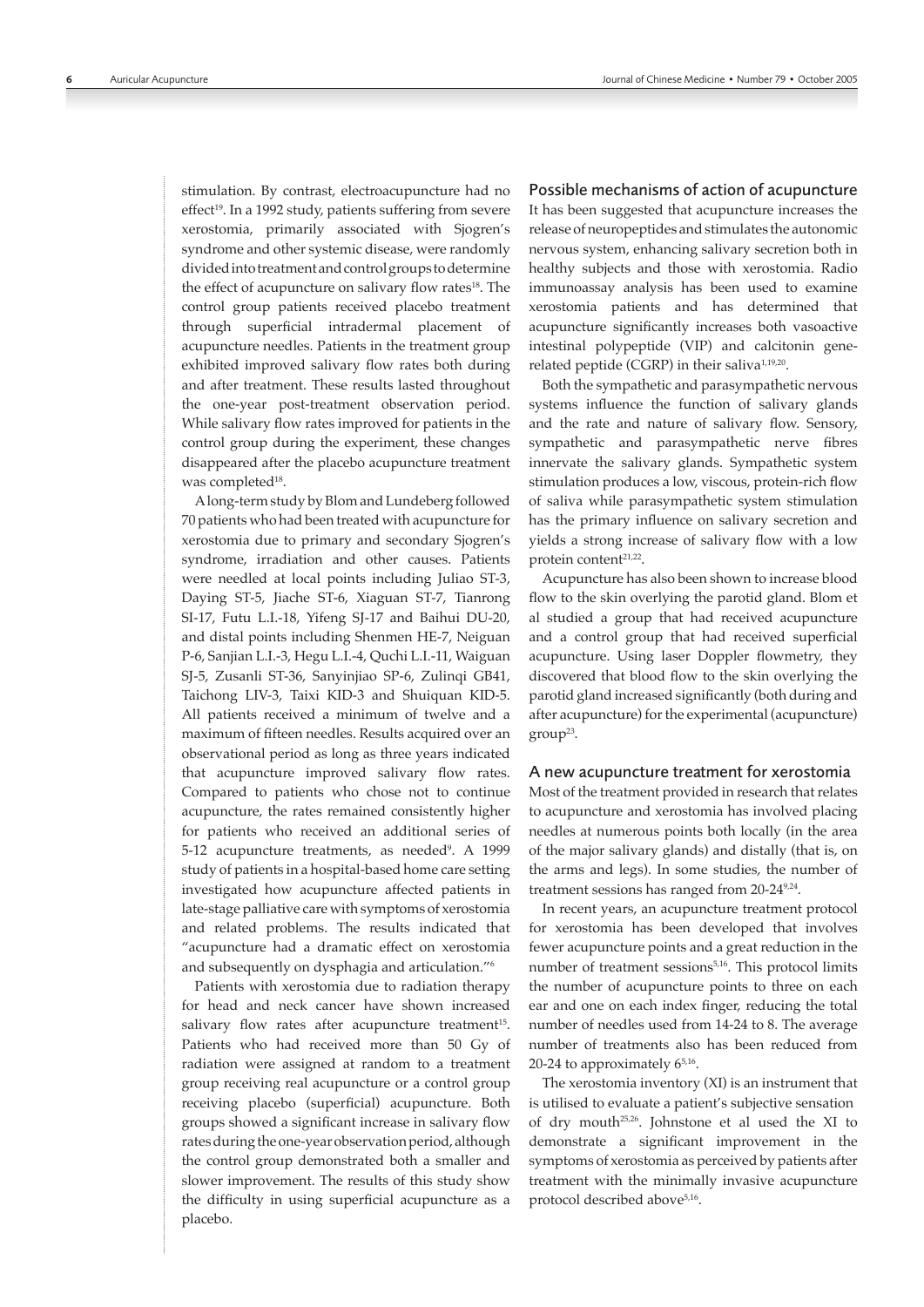stimulation. By contrast, electroacupuncture had no effect<sup>19</sup>. In a 1992 study, patients suffering from severe xerostomia, primarily associated with Sjogren's syndrome and other systemic disease, were randomly divided into treatment and control groups to determine the effect of acupuncture on salivary flow rates<sup>18</sup>. The control group patients received placebo treatment through superficial intradermal placement of acupuncture needles. Patients in the treatment group exhibited improved salivary flow rates both during and after treatment. These results lasted throughout the one-year post-treatment observation period. While salivary flow rates improved for patients in the control group during the experiment, these changes disappeared after the placebo acupuncture treatment was completed<sup>18</sup>.

A long-term study by Blom and Lundeberg followed 70 patients who had been treated with acupuncture for xerostomia due to primary and secondary Sjogren's syndrome, irradiation and other causes. Patients were needled at local points including Juliao ST-3, Daying ST-5, Jiache ST-6, Xiaguan ST-7, Tianrong SI-17, Futu L.I.-18, Yifeng SJ-17 and Baihui DU-20, and distal points including Shenmen HE-7, Neiguan P-6, Sanjian L.I.-3, Hegu L.I.-4, Quchi L.I.-11, Waiguan SJ-5, Zusanli ST-36, Sanyinjiao SP-6, Zulinqi GB41, Taichong LIV-3, Taixi KID-3 and Shuiquan KID-5. All patients received a minimum of twelve and a maximum of fifteen needles. Results acquired over an observational period as long as three years indicated that acupuncture improved salivary flow rates. Compared to patients who chose not to continue acupuncture, the rates remained consistently higher for patients who received an additional series of 5-12 acupuncture treatments, as needed<sup>9</sup>. A 1999 study of patients in a hospital-based home care setting investigated how acupuncture affected patients in late-stage palliative care with symptoms of xerostomia and related problems. The results indicated that "acupuncture had a dramatic effect on xerostomia and subsequently on dysphagia and articulation."6

Patients with xerostomia due to radiation therapy for head and neck cancer have shown increased salivary flow rates after acupuncture treatment<sup>15</sup>. Patients who had received more than 50 Gy of radiation were assigned at random to a treatment group receiving real acupuncture or a control group receiving placebo (superficial) acupuncture. Both groups showed a significant increase in salivary flow rates during the one-year observation period, although the control group demonstrated both a smaller and slower improvement. The results of this study show the difficulty in using superficial acupuncture as a placebo.

#### Possible mechanisms of action of acupuncture

It has been suggested that acupuncture increases the release of neuropeptides and stimulates the autonomic nervous system, enhancing salivary secretion both in healthy subjects and those with xerostomia. Radio immunoassay analysis has been used to examine xerostomia patients and has determined that acupuncture significantly increases both vasoactive intestinal polypeptide (VIP) and calcitonin generelated peptide (CGRP) in their saliva<sup>1,19,20</sup>.

Both the sympathetic and parasympathetic nervous systems influence the function of salivary glands and the rate and nature of salivary flow. Sensory, sympathetic and parasympathetic nerve fibres innervate the salivary glands. Sympathetic system stimulation produces a low, viscous, protein-rich flow of saliva while parasympathetic system stimulation has the primary influence on salivary secretion and yields a strong increase of salivary flow with a low protein content<sup>21,22</sup>.

Acupuncture has also been shown to increase blood flow to the skin overlying the parotid gland. Blom et al studied a group that had received acupuncture and a control group that had received superficial acupuncture. Using laser Doppler flowmetry, they discovered that blood flow to the skin overlying the parotid gland increased significantly (both during and after acupuncture) for the experimental (acupuncture)  $group<sup>23</sup>$ .

#### A new acupuncture treatment for xerostomia

Most of the treatment provided in research that relates to acupuncture and xerostomia has involved placing needles at numerous points both locally (in the area of the major salivary glands) and distally (that is, on the arms and legs). In some studies, the number of treatment sessions has ranged from 20-24<sup>9,24</sup>.

In recent years, an acupuncture treatment protocol for xerostomia has been developed that involves fewer acupuncture points and a great reduction in the number of treatment sessions<sup>5,16</sup>. This protocol limits the number of acupuncture points to three on each ear and one on each index finger, reducing the total number of needles used from 14-24 to 8. The average number of treatments also has been reduced from 20-24 to approximately  $6^{5,16}$ .

The xerostomia inventory (XI) is an instrument that is utilised to evaluate a patient's subjective sensation of dry mouth25,26. Johnstone et al used the XI to demonstrate a significant improvement in the symptoms of xerostomia as perceived by patients after treatment with the minimally invasive acupuncture protocol described above<sup>5,16</sup>.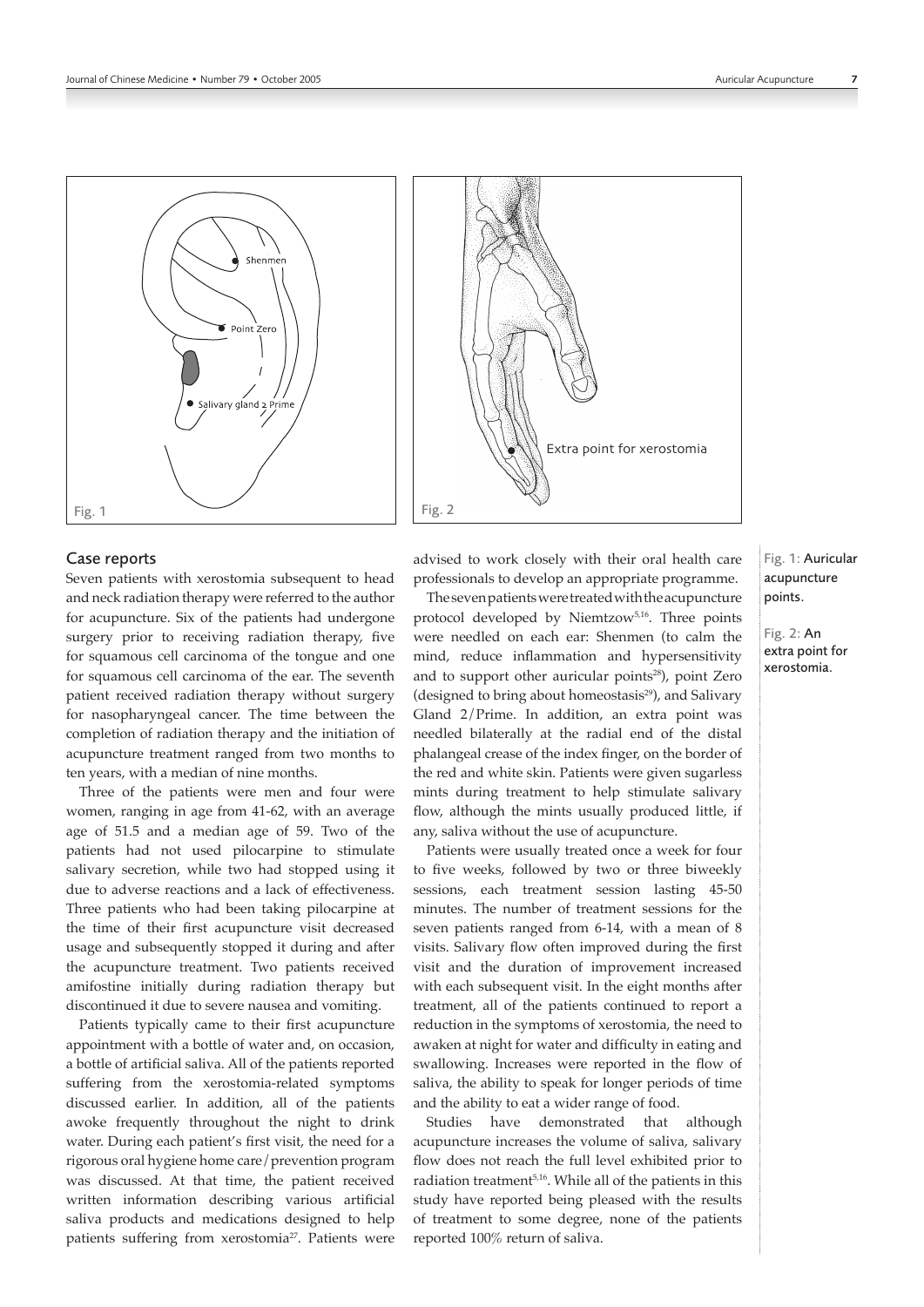



### Case reports

Seven patients with xerostomia subsequent to head and neck radiation therapy were referred to the author for acupuncture. Six of the patients had undergone surgery prior to receiving radiation therapy, five for squamous cell carcinoma of the tongue and one for squamous cell carcinoma of the ear. The seventh patient received radiation therapy without surgery for nasopharyngeal cancer. The time between the completion of radiation therapy and the initiation of acupuncture treatment ranged from two months to ten years, with a median of nine months.

Three of the patients were men and four were women, ranging in age from 41-62, with an average age of 51.5 and a median age of 59. Two of the patients had not used pilocarpine to stimulate salivary secretion, while two had stopped using it due to adverse reactions and a lack of effectiveness. Three patients who had been taking pilocarpine at the time of their first acupuncture visit decreased usage and subsequently stopped it during and after the acupuncture treatment. Two patients received amifostine initially during radiation therapy but discontinued it due to severe nausea and vomiting.

Patients typically came to their first acupuncture appointment with a bottle of water and, on occasion, a bottle of artificial saliva. All of the patients reported suffering from the xerostomia-related symptoms discussed earlier. In addition, all of the patients awoke frequently throughout the night to drink water. During each patient's first visit, the need for a rigorous oral hygiene home care/prevention program was discussed. At that time, the patient received written information describing various artificial saliva products and medications designed to help patients suffering from xerostomia<sup>27</sup>. Patients were advised to work closely with their oral health care professionals to develop an appropriate programme.

The seven patients were treated with the acupuncture protocol developed by Niemtzow<sup>5,16</sup>. Three points were needled on each ear: Shenmen (to calm the mind, reduce inflammation and hypersensitivity and to support other auricular points<sup>28</sup>), point Zero (designed to bring about homeostasis $^{29}$ ), and Salivary Gland 2/Prime. In addition, an extra point was needled bilaterally at the radial end of the distal phalangeal crease of the index finger, on the border of the red and white skin. Patients were given sugarless mints during treatment to help stimulate salivary flow, although the mints usually produced little, if any, saliva without the use of acupuncture.

Patients were usually treated once a week for four to five weeks, followed by two or three biweekly sessions, each treatment session lasting 45-50 minutes. The number of treatment sessions for the seven patients ranged from 6-14, with a mean of 8 visits. Salivary flow often improved during the first visit and the duration of improvement increased with each subsequent visit. In the eight months after treatment, all of the patients continued to report a reduction in the symptoms of xerostomia, the need to awaken at night for water and difficulty in eating and swallowing. Increases were reported in the flow of saliva, the ability to speak for longer periods of time and the ability to eat a wider range of food.

Studies have demonstrated that although acupuncture increases the volume of saliva, salivary flow does not reach the full level exhibited prior to radiation treatment5,16. While all of the patients in this study have reported being pleased with the results of treatment to some degree, none of the patients reported 100% return of saliva.

Fig. 1: Auricular acupuncture points.

Fig. 2: An extra point for xerostomia.